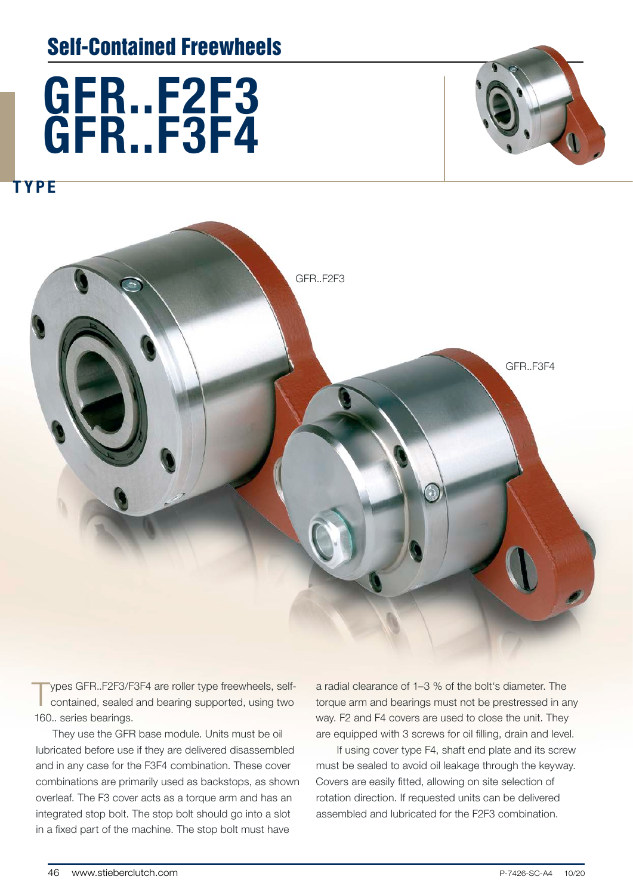## Self-Contained Freewheels



**TYPE** 



Types GFR..F2F3/F3F4 are roller type freewheels, self-<br>contained, sealed and bearing supported, using two 160.. series bearings.

They use the GFR base module. Units must be oil lubricated before use if they are delivered disassembled and in any case for the F3F4 combination. These cover combinations are primarily used as backstops, as shown overleaf. The F3 cover acts as a torque arm and has an integrated stop bolt. The stop bolt should go into a slot in a fixed part of the machine. The stop bolt must have

a radial clearance of 1–3 % of the bolt's diameter. The torque arm and bearings must not be prestressed in any way. F2 and F4 covers are used to close the unit. They are equipped with 3 screws for oil filling, drain and level.

 If using cover type F4, shaft end plate and its screw must be sealed to avoid oil leakage through the keyway. Covers are easily fitted, allowing on site selection of rotation direction. If requested units can be delivered assembled and lubricated for the F2F3 combination.